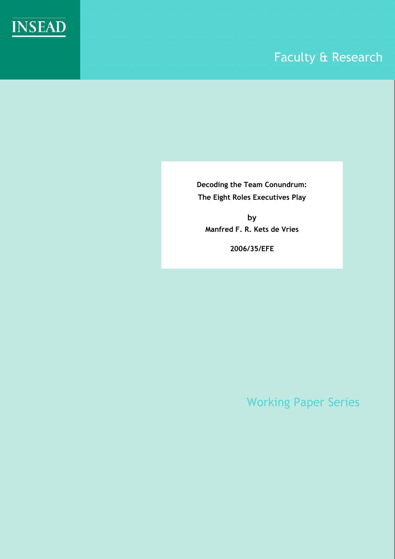

# Faculty & Research

**Decoding the Team Conundrum: The Eight Roles Executives Play** 

**by Manfred F. R. Kets de Vries** 

**2006/35/EFE** 

Working Paper Series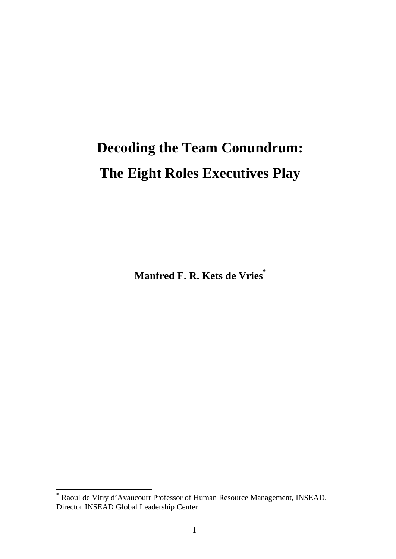# **Decoding the Team Conundrum: The Eight Roles Executives Play**

**Manfred F. R. Kets de Vries\***

 \* Raoul de Vitry d'Avaucourt Professor of Human Resource Management, INSEAD. Director INSEAD Global Leadership Center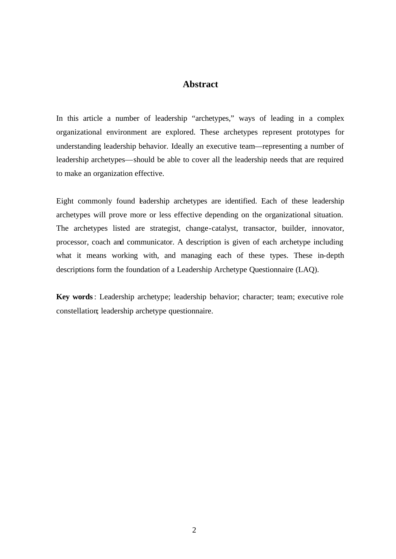# **Abstract**

In this article a number of leadership "archetypes," ways of leading in a complex organizational environment are explored. These archetypes represent prototypes for understanding leadership behavior. Ideally an executive team—representing a number of leadership archetypes—should be able to cover all the leadership needs that are required to make an organization effective.

Eight commonly found badership archetypes are identified. Each of these leadership archetypes will prove more or less effective depending on the organizational situation. The archetypes listed are strategist, change-catalyst, transactor, builder, innovator, processor, coach and communicator. A description is given of each archetype including what it means working with, and managing each of these types. These in-depth descriptions form the foundation of a Leadership Archetype Questionnaire (LAQ).

**Key words**: Leadership archetype; leadership behavior; character; team; executive role constellation; leadership archetype questionnaire.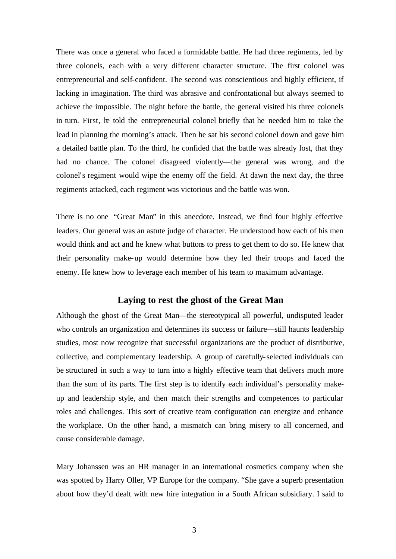There was once a general who faced a formidable battle. He had three regiments, led by three colonels, each with a very different character structure. The first colonel was entrepreneurial and self-confident. The second was conscientious and highly efficient, if lacking in imagination. The third was abrasive and confrontational but always seemed to achieve the impossible. The night before the battle, the general visited his three colonels in turn. First, he told the entrepreneurial colonel briefly that he needed him to take the lead in planning the morning's attack. Then he sat his second colonel down and gave him a detailed battle plan. To the third, he confided that the battle was already lost, that they had no chance. The colonel disagreed violently—the general was wrong, and the colonel's regiment would wipe the enemy off the field. At dawn the next day, the three regiments attacked, each regiment was victorious and the battle was won.

There is no one "Great Man" in this anecdote. Instead, we find four highly effective leaders. Our general was an astute judge of character. He understood how each of his men would think and act and he knew what buttons to press to get them to do so. He knew that their personality make-up would determine how they led their troops and faced the enemy. He knew how to leverage each member of his team to maximum advantage.

# **Laying to rest the ghost of the Great Man**

Although the ghost of the Great Man—the stereotypical all powerful, undisputed leader who controls an organization and determines its success or failure—still haunts leadership studies, most now recognize that successful organizations are the product of distributive, collective, and complementary leadership. A group of carefully-selected individuals can be structured in such a way to turn into a highly effective team that delivers much more than the sum of its parts. The first step is to identify each individual's personality makeup and leadership style, and then match their strengths and competences to particular roles and challenges. This sort of creative team configuration can energize and enhance the workplace. On the other hand, a mismatch can bring misery to all concerned, and cause considerable damage.

Mary Johanssen was an HR manager in an international cosmetics company when she was spotted by Harry Oller, VP Europe for the company. "She gave a superb presentation about how they'd dealt with new hire integration in a South African subsidiary. I said to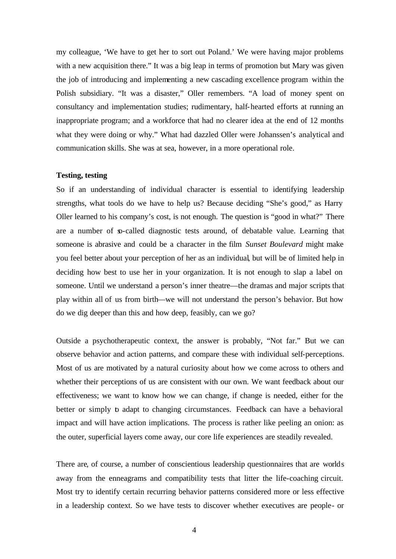my colleague, 'We have to get her to sort out Poland.' We were having major problems with a new acquisition there." It was a big leap in terms of promotion but Mary was given the job of introducing and implementing a new cascading excellence program within the Polish subsidiary. "It was a disaster," Oller remembers. "A load of money spent on consultancy and implementation studies; rudimentary, half-hearted efforts at running an inappropriate program; and a workforce that had no clearer idea at the end of 12 months what they were doing or why." What had dazzled Oller were Johanssen's analytical and communication skills. She was at sea, however, in a more operational role.

#### **Testing, testing**

So if an understanding of individual character is essential to identifying leadership strengths, what tools do we have to help us? Because deciding "She's good," as Harry Oller learned to his company's cost, is not enough. The question is "good in what?" There are a number of so-called diagnostic tests around, of debatable value. Learning that someone is abrasive and could be a character in the film *Sunset Boulevard* might make you feel better about your perception of her as an individual, but will be of limited help in deciding how best to use her in your organization. It is not enough to slap a label on someone. Until we understand a person's inner theatre—the dramas and major scripts that play within all of us from birth—we will not understand the person's behavior. But how do we dig deeper than this and how deep, feasibly, can we go?

Outside a psychotherapeutic context, the answer is probably, "Not far." But we can observe behavior and action patterns, and compare these with individual self-perceptions. Most of us are motivated by a natural curiosity about how we come across to others and whether their perceptions of us are consistent with our own. We want feedback about our effectiveness; we want to know how we can change, if change is needed, either for the better or simply to adapt to changing circumstances. Feedback can have a behavioral impact and will have action implications. The process is rather like peeling an onion: as the outer, superficial layers come away, our core life experiences are steadily revealed.

There are, of course, a number of conscientious leadership questionnaires that are worlds away from the enneagrams and compatibility tests that litter the life-coaching circuit. Most try to identify certain recurring behavior patterns considered more or less effective in a leadership context. So we have tests to discover whether executives are people- or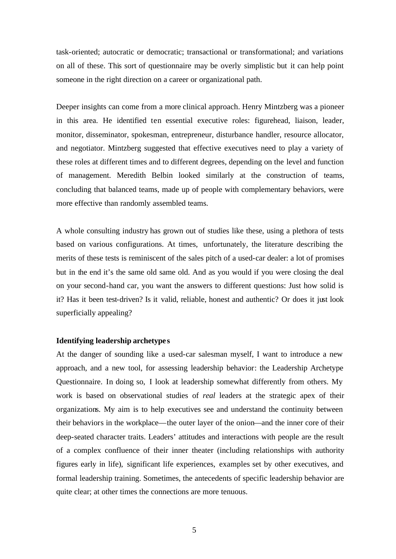task-oriented; autocratic or democratic; transactional or transformational; and variations on all of these. This sort of questionnaire may be overly simplistic but it can help point someone in the right direction on a career or organizational path.

Deeper insights can come from a more clinical approach. Henry Mintzberg was a pioneer in this area. He identified ten essential executive roles: figurehead, liaison, leader, monitor, disseminator, spokesman, entrepreneur, disturbance handler, resource allocator, and negotiator. Mintzberg suggested that effective executives need to play a variety of these roles at different times and to different degrees, depending on the level and function of management. Meredith Belbin looked similarly at the construction of teams, concluding that balanced teams, made up of people with complementary behaviors, were more effective than randomly assembled teams.

A whole consulting industry has grown out of studies like these, using a plethora of tests based on various configurations. At times, unfortunately, the literature describing the merits of these tests is reminiscent of the sales pitch of a used-car dealer: a lot of promises but in the end it's the same old same old. And as you would if you were closing the deal on your second-hand car, you want the answers to different questions: Just how solid is it? Has it been test-driven? Is it valid, reliable, honest and authentic? Or does it just look superficially appealing?

#### **Identifying leadership archetype s**

At the danger of sounding like a used-car salesman myself, I want to introduce a new approach, and a new tool, for assessing leadership behavior: the Leadership Archetype Questionnaire. In doing so, I look at leadership somewhat differently from others. My work is based on observational studies of *real* leaders at the strategic apex of their organizations. My aim is to help executives see and understand the continuity between their behaviors in the workplace—the outer layer of the onion—and the inner core of their deep-seated character traits. Leaders' attitudes and interactions with people are the result of a complex confluence of their inner theater (including relationships with authority figures early in life), significant life experiences, examples set by other executives, and formal leadership training. Sometimes, the antecedents of specific leadership behavior are quite clear; at other times the connections are more tenuous.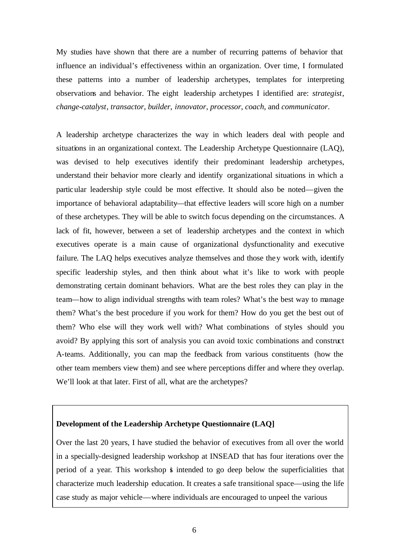My studies have shown that there are a number of recurring patterns of behavior that influence an individual's effectiveness within an organization. Over time, I formulated these patterns into a number of leadership archetypes, templates for interpreting observations and behavior. The eight leadership archetypes I identified are: *strategist*, *change-catalyst*, *transactor*, *builder*, *innovator*, *processor*, *coach*, and *communicator*.

A leadership archetype characterizes the way in which leaders deal with people and situations in an organizational context. The Leadership Archetype Questionnaire (LAQ), was devised to help executives identify their predominant leadership archetypes, understand their behavior more clearly and identify organizational situations in which a particular leadership style could be most effective. It should also be noted—given the importance of behavioral adaptability—that effective leaders will score high on a number of these archetypes. They will be able to switch focus depending on the circumstances. A lack of fit, however, between a set of leadership archetypes and the context in which executives operate is a main cause of organizational dysfunctionality and executive failure. The LAQ helps executives analyze themselves and those they work with, identify specific leadership styles, and then think about what it's like to work with people demonstrating certain dominant behaviors. What are the best roles they can play in the team—how to align individual strengths with team roles? What's the best way to manage them? What's the best procedure if you work for them? How do you get the best out of them? Who else will they work well with? What combinations of styles should you avoid? By applying this sort of analysis you can avoid toxic combinations and construct A-teams. Additionally, you can map the feedback from various constituents (how the other team members view them) and see where perceptions differ and where they overlap. We'll look at that later. First of all, what are the archetypes?

#### **Development of the Leadership Archetype Questionnaire (LAQ]**

Over the last 20 years, I have studied the behavior of executives from all over the world in a specially-designed leadership workshop at INSEAD that has four iterations over the period of a year. This workshop is intended to go deep below the superficialities that characterize much leadership education. It creates a safe transitional space—using the life case study as major vehicle—where individuals are encouraged to unpeel the various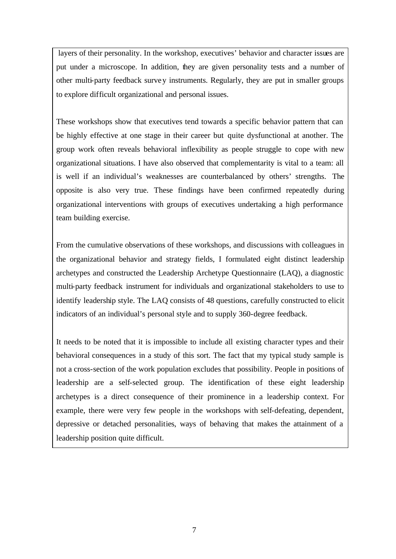layers of their personality. In the workshop, executives' behavior and character issues are put under a microscope. In addition, they are given personality tests and a number of other multi-party feedback survey instruments. Regularly, they are put in smaller groups to explore difficult organizational and personal issues.

These workshops show that executives tend towards a specific behavior pattern that can be highly effective at one stage in their career but quite dysfunctional at another. The group work often reveals behavioral inflexibility as people struggle to cope with new organizational situations. I have also observed that complementarity is vital to a team: all is well if an individual's weaknesses are counterbalanced by others' strengths. The opposite is also very true. These findings have been confirmed repeatedly during organizational interventions with groups of executives undertaking a high performance team building exercise.

From the cumulative observations of these workshops, and discussions with colleagues in the organizational behavior and strategy fields, I formulated eight distinct leadership archetypes and constructed the Leadership Archetype Questionnaire (LAQ), a diagnostic multi-party feedback instrument for individuals and organizational stakeholders to use to identify leadership style. The LAQ consists of 48 questions, carefully constructed to elicit indicators of an individual's personal style and to supply 360-degree feedback.

It needs to be noted that it is impossible to include all existing character types and their behavioral consequences in a study of this sort. The fact that my typical study sample is not a cross-section of the work population excludes that possibility. People in positions of leadership are a self-selected group. The identification of these eight leadership archetypes is a direct consequence of their prominence in a leadership context. For example, there were very few people in the workshops with self-defeating, dependent, depressive or detached personalities, ways of behaving that makes the attainment of a leadership position quite difficult.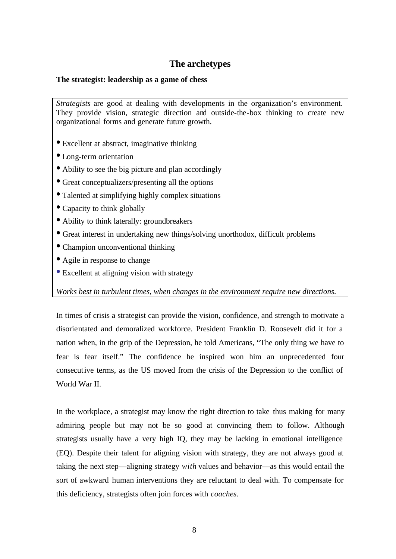# **The archetypes**

# **The strategist: leadership as a game of chess**

*Strategists* are good at dealing with developments in the organization's environment. They provide vision, strategic direction and outside-the-box thinking to create new organizational forms and generate future growth.

- Excellent at abstract, imaginative thinking
- Long-term orientation
- Ability to see the big picture and plan accordingly
- Great conceptualizers/presenting all the options
- Talented at simplifying highly complex situations
- Capacity to think globally
- Ability to think laterally: groundbreakers
- Great interest in undertaking new things/solving unorthodox, difficult problems
- Champion unconventional thinking
- Agile in response to change
- Excellent at aligning vision with strategy

*Works best in turbulent times, when changes in the environment require new directions.*

In times of crisis a strategist can provide the vision, confidence, and strength to motivate a disorientated and demoralized workforce. President Franklin D. Roosevelt did it for a nation when, in the grip of the Depression, he told Americans, "The only thing we have to fear is fear itself." The confidence he inspired won him an unprecedented four consecutive terms, as the US moved from the crisis of the Depression to the conflict of World War II.

In the workplace, a strategist may know the right direction to take thus making for many admiring people but may not be so good at convincing them to follow. Although strategists usually have a very high IQ, they may be lacking in emotional intelligence (EQ). Despite their talent for aligning vision with strategy, they are not always good at taking the next step—aligning strategy *with* values and behavior—as this would entail the sort of awkward human interventions they are reluctant to deal with. To compensate for this deficiency, strategists often join forces with *coaches*.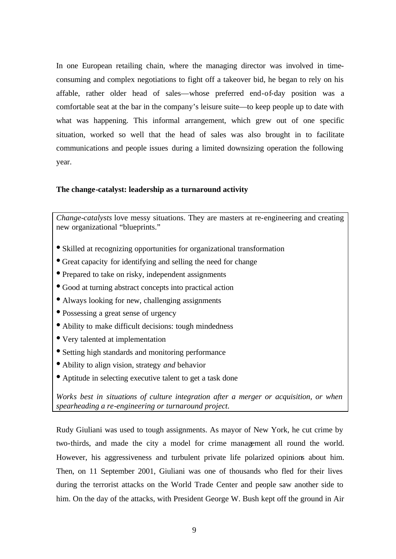In one European retailing chain, where the managing director was involved in timeconsuming and complex negotiations to fight off a takeover bid, he began to rely on his affable, rather older head of sales—whose preferred end-of-day position was a comfortable seat at the bar in the company's leisure suite—to keep people up to date with what was happening. This informal arrangement, which grew out of one specific situation, worked so well that the head of sales was also brought in to facilitate communications and people issues during a limited downsizing operation the following year.

#### **The change-catalyst: leadership as a turnaround activity**

*Change-catalysts* love messy situations. They are masters at re-engineering and creating new organizational "blueprints."

- Skilled at recognizing opportunities for organizational transformation
- Great capacity for identifying and selling the need for change
- Prepared to take on risky, independent assignments
- Good at turning abstract concepts into practical action
- Always looking for new, challenging assignments
- Possessing a great sense of urgency
- Ability to make difficult decisions: tough mindedness
- Very talented at implementation
- Setting high standards and monitoring performance
- Ability to align vision, strategy *and* behavior
- Aptitude in selecting executive talent to get a task done

*Works best in situations of culture integration after a merger or acquisition, or when spearheading a re-engineering or turnaround project.*

Rudy Giuliani was used to tough assignments. As mayor of New York, he cut crime by two-thirds, and made the city a model for crime management all round the world. However, his aggressiveness and turbulent private life polarized opinions about him. Then, on 11 September 2001, Giuliani was one of thousands who fled for their lives during the terrorist attacks on the World Trade Center and people saw another side to him. On the day of the attacks, with President George W. Bush kept off the ground in Air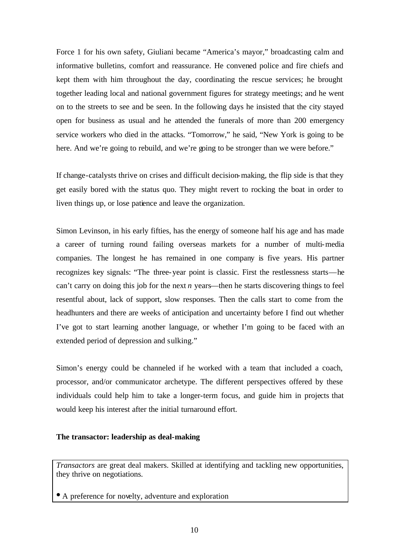Force 1 for his own safety, Giuliani became "America's mayor," broadcasting calm and informative bulletins, comfort and reassurance. He convened police and fire chiefs and kept them with him throughout the day, coordinating the rescue services; he brought together leading local and national government figures for strategy meetings; and he went on to the streets to see and be seen. In the following days he insisted that the city stayed open for business as usual and he attended the funerals of more than 200 emergency service workers who died in the attacks. "Tomorrow," he said, "New York is going to be here. And we're going to rebuild, and we're going to be stronger than we were before."

If change-catalysts thrive on crises and difficult decision-making, the flip side is that they get easily bored with the status quo. They might revert to rocking the boat in order to liven things up, or lose patience and leave the organization.

Simon Levinson, in his early fifties, has the energy of someone half his age and has made a career of turning round failing overseas markets for a number of multi-media companies. The longest he has remained in one company is five years. His partner recognizes key signals: "The three-year point is classic. First the restlessness starts—he can't carry on doing this job for the next *n* years—then he starts discovering things to feel resentful about, lack of support, slow responses. Then the calls start to come from the headhunters and there are weeks of anticipation and uncertainty before I find out whether I've got to start learning another language, or whether I'm going to be faced with an extended period of depression and sulking."

Simon's energy could be channeled if he worked with a team that included a coach, processor, and/or communicator archetype. The different perspectives offered by these individuals could help him to take a longer-term focus, and guide him in projects that would keep his interest after the initial turnaround effort.

#### **The transactor: leadership as deal-making**

*Transactors* are great deal makers. Skilled at identifying and tackling new opportunities, they thrive on negotiations.

• A preference for novelty, adventure and exploration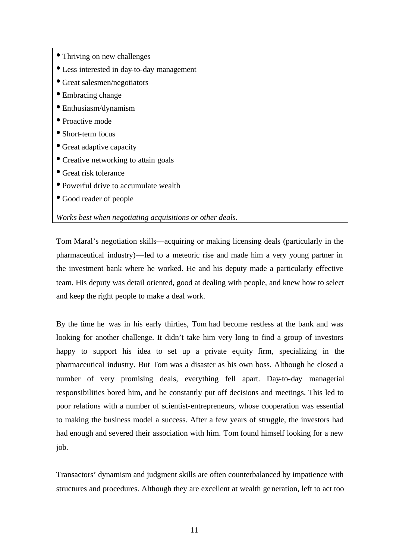- Thriving on new challenges
- Less interested in day-to-day management
- Great salesmen/negotiators
- Embracing change
- Enthusiasm/dynamism
- Proactive mode
- Short-term focus
- Great adaptive capacity
- Creative networking to attain goals
- Great risk tolerance
- Powerful drive to accumulate wealth
- Good reader of people

## *Works best when negotiating acquisitions or other deals.*

Tom Maral's negotiation skills—acquiring or making licensing deals (particularly in the pharmaceutical industry)—led to a meteoric rise and made him a very young partner in the investment bank where he worked. He and his deputy made a particularly effective team. His deputy was detail oriented, good at dealing with people, and knew how to select and keep the right people to make a deal work.

By the time he was in his early thirties, Tom had become restless at the bank and was looking for another challenge. It didn't take him very long to find a group of investors happy to support his idea to set up a private equity firm, specializing in the pharmaceutical industry. But Tom was a disaster as his own boss. Although he closed a number of very promising deals, everything fell apart. Day-to-day managerial responsibilities bored him, and he constantly put off decisions and meetings. This led to poor relations with a number of scientist-entrepreneurs, whose cooperation was essential to making the business model a success. After a few years of struggle, the investors had had enough and severed their association with him. Tom found himself looking for a new job.

Transactors' dynamism and judgment skills are often counterbalanced by impatience with structures and procedures. Although they are excellent at wealth generation, left to act too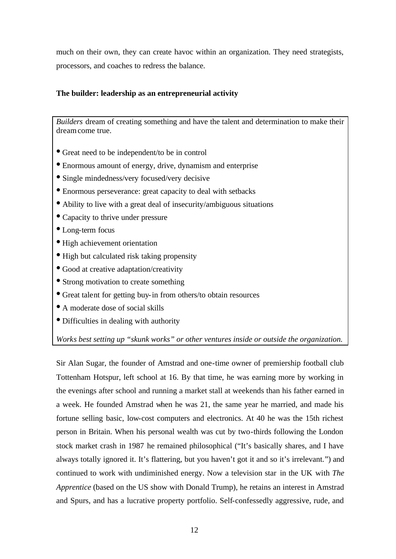much on their own, they can create havoc within an organization. They need strategists, processors, and coaches to redress the balance.

# **The builder: leadership as an entrepreneurial activity**

*Builders* dream of creating something and have the talent and determination to make their dream come true.

- Great need to be independent/to be in control
- Enormous amount of energy, drive, dynamism and enterprise
- Single mindedness/very focused/very decisive
- Enormous perseverance: great capacity to deal with setbacks
- Ability to live with a great deal of insecurity/ambiguous situations
- Capacity to thrive under pressure
- Long-term focus
- High achievement orientation
- High but calculated risk taking propensity
- Good at creative adaptation/creativity
- Strong motivation to create something
- Great talent for getting buy-in from others/to obtain resources
- A moderate dose of social skills
- Difficulties in dealing with authority

## *Works best setting up "skunk works" or other ventures inside or outside the organization.*

Sir Alan Sugar, the founder of Amstrad and one-time owner of premiership football club Tottenham Hotspur, left school at 16. By that time, he was earning more by working in the evenings after school and running a market stall at weekends than his father earned in a week. He founded Amstrad when he was 21, the same year he married, and made his fortune selling basic, low-cost computers and electronics. At 40 he was the 15th richest person in Britain. When his personal wealth was cut by two-thirds following the London stock market crash in 1987 he remained philosophical ("It's basically shares, and I have always totally ignored it. It's flattering, but you haven't got it and so it's irrelevant.") and continued to work with undiminished energy. Now a television star in the UK with *The Apprentice* (based on the US show with Donald Trump), he retains an interest in Amstrad and Spurs, and has a lucrative property portfolio. Self-confessedly aggressive, rude, and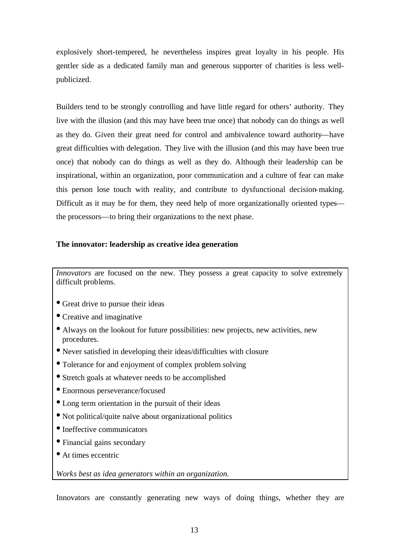explosively short-tempered, he nevertheless inspires great loyalty in his people. His gentler side as a dedicated family man and generous supporter of charities is less wellpublicized.

Builders tend to be strongly controlling and have little regard for others' authority. They live with the illusion (and this may have been true once) that nobody can do things as well as they do. Given their great need for control and ambivalence toward authority—have great difficulties with delegation. They live with the illusion (and this may have been true once) that nobody can do things as well as they do. Although their leadership can be inspirational, within an organization, poor communication and a culture of fear can make this person lose touch with reality, and contribute to dysfunctional decision-making. Difficult as it may be for them, they need help of more organizationally oriented types the processors—to bring their organizations to the next phase.

# **The innovator: leadership as creative idea generation**

*Innovators* are focused on the new. They possess a great capacity to solve extremely difficult problems.

- Great drive to pursue their ideas
- Creative and imaginative
- Always on the lookout for future possibilities: new projects, new activities, new procedures.
- Never satisfied in developing their ideas/difficulties with closure
- Tolerance for and enjoyment of complex problem solving
- Stretch goals at whatever needs to be accomplished
- Enormous perseverance/focused
- Long term orientation in the pursuit of their ideas
- Not political/quite naïve about organizational politics
- Ineffective communicators
- Financial gains secondary
- At times eccentric

## *Works best as idea generators within an organization.*

Innovators are constantly generating new ways of doing things, whether they are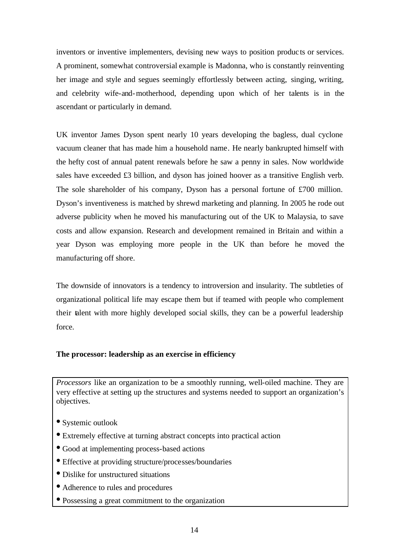inventors or inventive implementers, devising new ways to position produc ts or services. A prominent, somewhat controversial example is Madonna, who is constantly reinventing her image and style and segues seemingly effortlessly between acting, singing, writing, and celebrity wife-and-motherhood, depending upon which of her talents is in the ascendant or particularly in demand.

UK inventor James Dyson spent nearly 10 years developing the bagless, dual cyclone vacuum cleaner that has made him a household name. He nearly bankrupted himself with the hefty cost of annual patent renewals before he saw a penny in sales. Now worldwide sales have exceeded £3 billion, and dyson has joined hoover as a transitive English verb. The sole shareholder of his company, Dyson has a personal fortune of £700 million. Dyson's inventiveness is matched by shrewd marketing and planning. In 2005 he rode out adverse publicity when he moved his manufacturing out of the UK to Malaysia, to save costs and allow expansion. Research and development remained in Britain and within a year Dyson was employing more people in the UK than before he moved the manufacturing off shore.

The downside of innovators is a tendency to introversion and insularity. The subtleties of organizational political life may escape them but if teamed with people who complement their talent with more highly developed social skills, they can be a powerful leadership force.

## **The processor: leadership as an exercise in efficiency**

*Processors* like an organization to be a smoothly running, well-oiled machine. They are very effective at setting up the structures and systems needed to support an organization's objectives.

- Systemic outlook
- Extremely effective at turning abstract concepts into practical action
- Good at implementing process-based actions
- Effective at providing structure/processes/boundaries
- Dislike for unstructured situations
- Adherence to rules and procedures
- Possessing a great commitment to the organization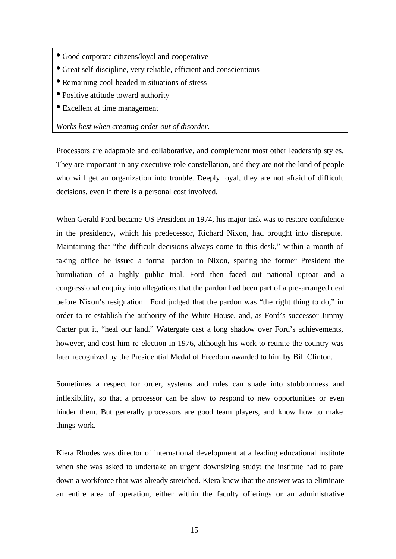- Good corporate citizens/loyal and cooperative
- Great self-discipline, very reliable, efficient and conscientious
- Remaining cool-headed in situations of stress
- Positive attitude toward authority
- Excellent at time management

# *Works best when creating order out of disorder.*

Processors are adaptable and collaborative, and complement most other leadership styles. They are important in any executive role constellation, and they are not the kind of people who will get an organization into trouble. Deeply loyal, they are not afraid of difficult decisions, even if there is a personal cost involved.

When Gerald Ford became US President in 1974, his major task was to restore confidence in the presidency, which his predecessor, Richard Nixon, had brought into disrepute. Maintaining that "the difficult decisions always come to this desk," within a month of taking office he issued a formal pardon to Nixon, sparing the former President the humiliation of a highly public trial. Ford then faced out national uproar and a congressional enquiry into allegations that the pardon had been part of a pre-arranged deal before Nixon's resignation. Ford judged that the pardon was "the right thing to do," in order to re-establish the authority of the White House, and, as Ford's successor Jimmy Carter put it, "heal our land." Watergate cast a long shadow over Ford's achievements, however, and cost him re-election in 1976, although his work to reunite the country was later recognized by the Presidential Medal of Freedom awarded to him by Bill Clinton.

Sometimes a respect for order, systems and rules can shade into stubbornness and inflexibility, so that a processor can be slow to respond to new opportunities or even hinder them. But generally processors are good team players, and know how to make things work.

Kiera Rhodes was director of international development at a leading educational institute when she was asked to undertake an urgent downsizing study: the institute had to pare down a workforce that was already stretched. Kiera knew that the answer was to eliminate an entire area of operation, either within the faculty offerings or an administrative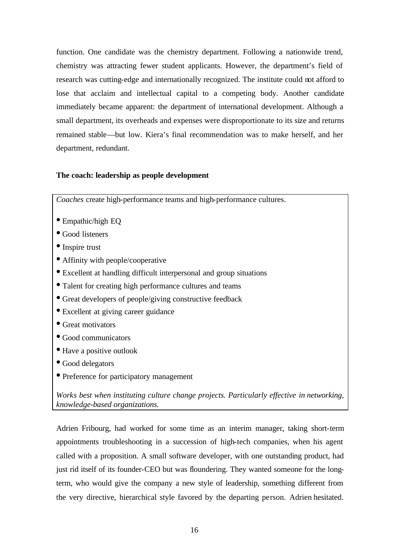function. One candidate was the chemistry department. Following a nationwide trend, chemistry was attracting fewer student applicants. However, the department's field of research was cutting-edge and internationally recognized. The institute could not afford to lose that acclaim and intellectual capital to a competing body. Another candidate immediately became apparent: the department of international development. Although a small department, its overheads and expenses were disproportionate to its size and returns remained stable—but low. Kiera's final recommendation was to make herself, and her department, redundant.

#### **The coach: leadership as people development**

*Coaches* create high-performance teams and high-performance cultures.

- Empathic/high EO
- Good listeners
- Inspire trust
- Affinity with people/cooperative
- Excellent at handling difficult interpersonal and group situations
- Talent for creating high performance cultures and teams
- Great developers of people/giving constructive feedback
- Excellent at giving career guidance
- Great motivators
- Good communicators
- Have a positive outlook
- Good delegators
- Preference for participatory management

*Works best when instituting culture change projects. Particularly effective in networking, knowledge-based organizations.*

Adrien Fribourg, had worked for some time as an interim manager, taking short-term appointments troubleshooting in a succession of high-tech companies, when his agent called with a proposition. A small software developer, with one outstanding product, had just rid itself of its founder-CEO but was floundering. They wanted someone for the longterm, who would give the company a new style of leadership, something different from the very directive, hierarchical style favored by the departing person. Adrien hesitated.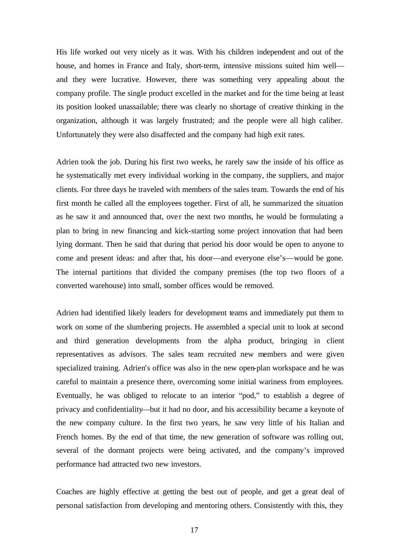His life worked out very nicely as it was. With his children independent and out of the house, and homes in France and Italy, short-term, intensive missions suited him well and they were lucrative. However, there was something very appealing about the company profile. The single product excelled in the market and for the time being at least its position looked unassailable; there was clearly no shortage of creative thinking in the organization, although it was largely frustrated; and the people were all high caliber. Unfortunately they were also disaffected and the company had high exit rates.

Adrien took the job. During his first two weeks, he rarely saw the inside of his office as he systematically met every individual working in the company, the suppliers, and major clients. For three days he traveled with members of the sales team. Towards the end of his first month he called all the employees together. First of all, he summarized the situation as he saw it and announced that, over the next two months, he would be formulating a plan to bring in new financing and kick-starting some project innovation that had been lying dormant. Then he said that during that period his door would be open to anyone to come and present ideas: and after that, his door—and everyone else's—would be gone. The internal partitions that divided the company premises (the top two floors of a converted warehouse) into small, somber offices would be removed.

Adrien had identified likely leaders for development teams and immediately put them to work on some of the slumbering projects. He assembled a special unit to look at second and third generation developments from the alpha product, bringing in client representatives as advisors. The sales team recruited new members and were given specialized training. Adrien's office was also in the new open-plan workspace and he was careful to maintain a presence there, overcoming some initial wariness from employees. Eventually, he was obliged to relocate to an interior "pod," to establish a degree of privacy and confidentiality—but it had no door, and his accessibility became a keynote of the new company culture. In the first two years, he saw very little of his Italian and French homes. By the end of that time, the new generation of software was rolling out, several of the dormant projects were being activated, and the company's improved performance had attracted two new investors.

Coaches are highly effective at getting the best out of people, and get a great deal of personal satisfaction from developing and mentoring others. Consistently with this, they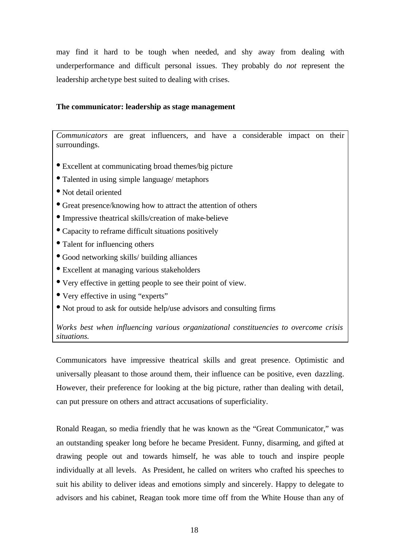may find it hard to be tough when needed, and shy away from dealing with underperformance and difficult personal issues. They probably do *not* represent the leadership archetype best suited to dealing with crises.

# **The communicator: leadership as stage management**

*Communicators* are great influencers, and have a considerable impact on their surroundings.

- Excellent at communicating broad themes/big picture
- Talented in using simple language/ metaphors
- Not detail oriented
- Great presence/knowing how to attract the attention of others
- Impressive theatrical skills/creation of make-believe
- Capacity to reframe difficult situations positively
- Talent for influencing others
- Good networking skills/ building alliances
- Excellent at managing various stakeholders
- Very effective in getting people to see their point of view.
- Very effective in using "experts"
- Not proud to ask for outside help/use advisors and consulting firms

*Works best when influencing various organizational constituencies to overcome crisis situations.*

Communicators have impressive theatrical skills and great presence. Optimistic and universally pleasant to those around them, their influence can be positive, even dazzling. However, their preference for looking at the big picture, rather than dealing with detail, can put pressure on others and attract accusations of superficiality.

Ronald Reagan, so media friendly that he was known as the "Great Communicator," was an outstanding speaker long before he became President. Funny, disarming, and gifted at drawing people out and towards himself, he was able to touch and inspire people individually at all levels. As President, he called on writers who crafted his speeches to suit his ability to deliver ideas and emotions simply and sincerely. Happy to delegate to advisors and his cabinet, Reagan took more time off from the White House than any of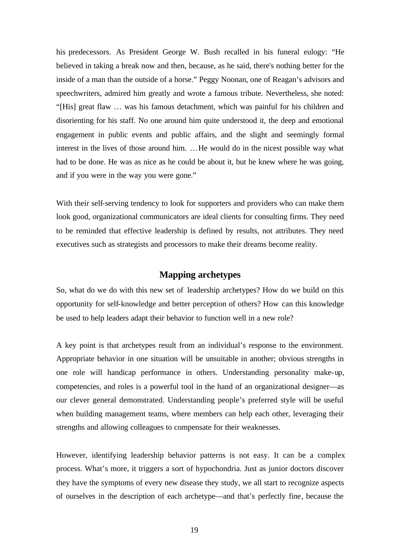his predecessors. As President George W. Bush recalled in his funeral eulogy: "He believed in taking a break now and then, because, as he said, there's nothing better for the inside of a man than the outside of a horse." Peggy Noonan, one of Reagan's advisors and speechwriters, admired him greatly and wrote a famous tribute. Nevertheless, she noted: "[His] great flaw … was his famous detachment, which was painful for his children and disorienting for his staff. No one around him quite understood it, the deep and emotional engagement in public events and public affairs, and the slight and seemingly formal interest in the lives of those around him. …He would do in the nicest possible way what had to be done. He was as nice as he could be about it, but he knew where he was going, and if you were in the way you were gone."

With their self-serving tendency to look for supporters and providers who can make them look good, organizational communicators are ideal clients for consulting firms. They need to be reminded that effective leadership is defined by results, not attributes. They need executives such as strategists and processors to make their dreams become reality.

# **Mapping archetypes**

So, what do we do with this new set of leadership archetypes? How do we build on this opportunity for self-knowledge and better perception of others? How can this knowledge be used to help leaders adapt their behavior to function well in a new role?

A key point is that archetypes result from an individual's response to the environment. Appropriate behavior in one situation will be unsuitable in another; obvious strengths in one role will handicap performance in others. Understanding personality make-up, competencies, and roles is a powerful tool in the hand of an organizational designer—as our clever general demonstrated. Understanding people's preferred style will be useful when building management teams, where members can help each other, leveraging their strengths and allowing colleagues to compensate for their weaknesses.

However, identifying leadership behavior patterns is not easy. It can be a complex process. What's more, it triggers a sort of hypochondria. Just as junior doctors discover they have the symptoms of every new disease they study, we all start to recognize aspects of ourselves in the description of each archetype—and that's perfectly fine, because the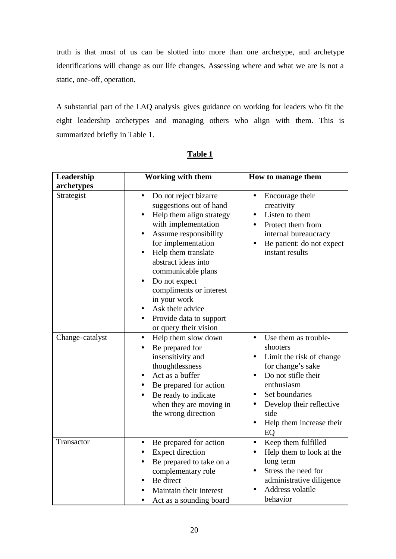truth is that most of us can be slotted into more than one archetype, and archetype identifications will change as our life changes. Assessing where and what we are is not a static, one-off, operation.

A substantial part of the LAQ analysis gives guidance on working for leaders who fit the eight leadership archetypes and managing others who align with them. This is summarized briefly in Table 1.

| Leadership<br>archetypes | <b>Working with them</b>                                                                                                                                                                                                                                                                                                                                                             | How to manage them                                                                                                                                                                                                          |
|--------------------------|--------------------------------------------------------------------------------------------------------------------------------------------------------------------------------------------------------------------------------------------------------------------------------------------------------------------------------------------------------------------------------------|-----------------------------------------------------------------------------------------------------------------------------------------------------------------------------------------------------------------------------|
| Strategist               | Do not reject bizarre<br>$\bullet$<br>suggestions out of hand<br>Help them align strategy<br>with implementation<br>Assume responsibility<br>for implementation<br>Help them translate<br>$\bullet$<br>abstract ideas into<br>communicable plans<br>Do not expect<br>compliments or interest<br>in your work<br>Ask their advice<br>Provide data to support<br>or query their vision | Encourage their<br>$\bullet$<br>creativity<br>Listen to them<br>Protect them from<br>internal bureaucracy<br>Be patient: do not expect<br>instant results                                                                   |
| Change-catalyst          | Help them slow down<br>$\bullet$<br>Be prepared for<br>insensitivity and<br>thoughtlessness<br>Act as a buffer<br>Be prepared for action<br>Be ready to indicate<br>$\bullet$<br>when they are moving in<br>the wrong direction                                                                                                                                                      | Use them as trouble-<br>$\bullet$<br>shooters<br>Limit the risk of change<br>for change's sake<br>Do not stifle their<br>enthusiasm<br>Set boundaries<br>Develop their reflective<br>side<br>Help them increase their<br>EQ |
| Transactor               | Be prepared for action<br><b>Expect direction</b><br>Be prepared to take on a<br>complementary role<br>Be direct<br>Maintain their interest<br>Act as a sounding board                                                                                                                                                                                                               | Keep them fulfilled<br>Help them to look at the<br>long term<br>Stress the need for<br>administrative diligence<br>Address volatile<br>behavior                                                                             |

# **Table 1**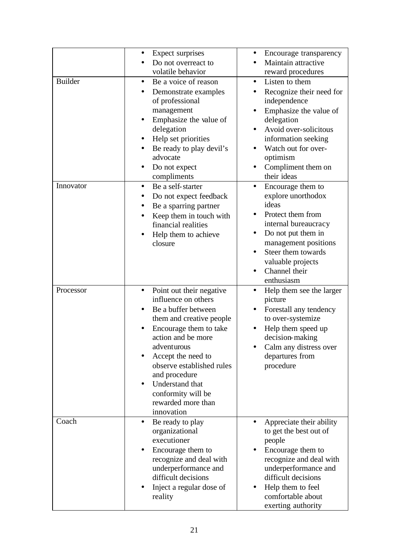|                | <b>Expect surprises</b>                     | Encourage transparency                      |
|----------------|---------------------------------------------|---------------------------------------------|
|                | Do not overreact to                         | Maintain attractive                         |
|                | volatile behavior                           | reward procedures                           |
| <b>Builder</b> | Be a voice of reason<br>$\bullet$           | Listen to them<br>$\bullet$                 |
|                | Demonstrate examples                        | Recognize their need for                    |
|                | of professional                             | independence                                |
|                | management                                  | Emphasize the value of                      |
|                | Emphasize the value of                      | delegation                                  |
|                | delegation                                  | Avoid over-solicitous                       |
|                | Help set priorities                         | information seeking                         |
|                | Be ready to play devil's                    | Watch out for over-                         |
|                | advocate                                    | optimism                                    |
|                | Do not expect                               | Compliment them on                          |
|                | compliments                                 | their ideas                                 |
| Innovator      | Be a self-starter                           | Encourage them to<br>$\bullet$              |
|                | Do not expect feedback                      | explore unorthodox                          |
|                | Be a sparring partner                       | ideas                                       |
|                | Keep them in touch with                     | Protect them from                           |
|                | financial realities                         | internal bureaucracy                        |
|                | Help them to achieve                        | Do not put them in                          |
|                | closure                                     | management positions                        |
|                |                                             | Steer them towards                          |
|                |                                             | valuable projects                           |
|                |                                             | Channel their                               |
|                |                                             | enthusiasm                                  |
| Processor      | Point out their negative                    | Help them see the larger                    |
|                | influence on others                         | picture                                     |
|                | Be a buffer between                         | Forestall any tendency                      |
|                | them and creative people                    | to over-systemize                           |
|                | Encourage them to take                      | Help them speed up                          |
|                | action and be more                          | decision-making                             |
|                | adventurous                                 | Calm any distress over                      |
|                | Accept the need to                          | departures from                             |
|                | observe established rules                   | procedure                                   |
|                | and procedure<br>Understand that            |                                             |
|                | conformity will be                          |                                             |
|                | rewarded more than                          |                                             |
|                | innovation                                  |                                             |
| Coach          | Be ready to play<br>$\bullet$               | Appreciate their ability                    |
|                | organizational                              | to get the best out of                      |
|                | executioner                                 | people                                      |
|                | Encourage them to                           | Encourage them to                           |
|                | recognize and deal with                     | recognize and deal with                     |
|                |                                             |                                             |
|                |                                             |                                             |
|                | underperformance and<br>difficult decisions | underperformance and<br>difficult decisions |
|                |                                             | $\bullet$                                   |
|                | Inject a regular dose of<br>reality         | Help them to feel<br>comfortable about      |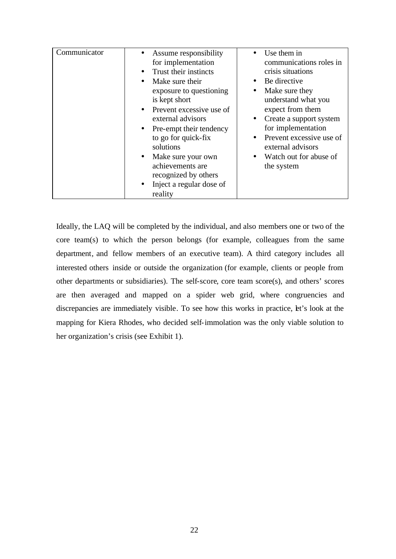| Communicator | Assume responsibility<br>for implementation<br>Trust their instincts<br>Make sure their<br>exposure to questioning<br>is kept short<br>Prevent excessive use of<br>$\bullet$<br>external advisors<br>Pre-empt their tendency<br>$\bullet$<br>to go for quick-fix<br>solutions | Use them in<br>communications roles in<br>crisis situations<br>Be directive<br>Make sure they<br>understand what you<br>expect from them<br>Create a support system<br>for implementation<br>Prevent excessive use of<br>external advisors |
|--------------|-------------------------------------------------------------------------------------------------------------------------------------------------------------------------------------------------------------------------------------------------------------------------------|--------------------------------------------------------------------------------------------------------------------------------------------------------------------------------------------------------------------------------------------|
|              | Make sure your own<br>achievements are<br>recognized by others<br>Inject a regular dose of<br>$\bullet$<br>reality                                                                                                                                                            | Watch out for abuse of<br>the system                                                                                                                                                                                                       |

Ideally, the LAQ will be completed by the individual, and also members one or two of the core team(s) to which the person belongs (for example, colleagues from the same department, and fellow members of an executive team). A third category includes all interested others inside or outside the organization (for example, clients or people from other departments or subsidiaries). The self-score, core team score(s), and others' scores are then averaged and mapped on a spider web grid, where congruencies and discrepancies are immediately visible. To see how this works in practice,  $et's$  look at the mapping for Kiera Rhodes, who decided self-immolation was the only viable solution to her organization's crisis (see Exhibit 1).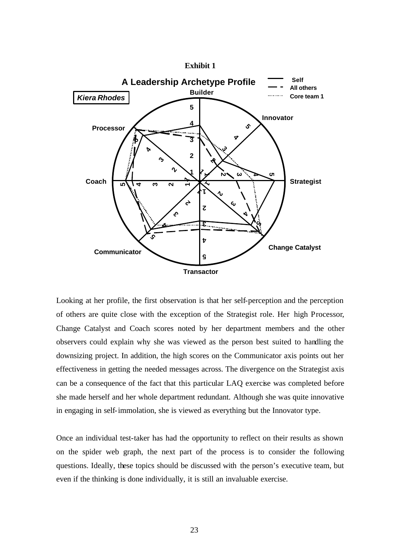

Looking at her profile, the first observation is that her self-perception and the perception of others are quite close with the exception of the Strategist role. Her high Processor, Change Catalyst and Coach scores noted by her department members and the other observers could explain why she was viewed as the person best suited to handling the downsizing project. In addition, the high scores on the Communicator axis points out her effectiveness in getting the needed messages across. The divergence on the Strategist axis can be a consequence of the fact that this particular LAQ exercise was completed before she made herself and her whole department redundant. Although she was quite innovative in engaging in self-immolation, she is viewed as everything but the Innovator type.

Once an individual test-taker has had the opportunity to reflect on their results as shown on the spider web graph, the next part of the process is to consider the following questions. Ideally, these topics should be discussed with the person's executive team, but even if the thinking is done individually, it is still an invaluable exercise.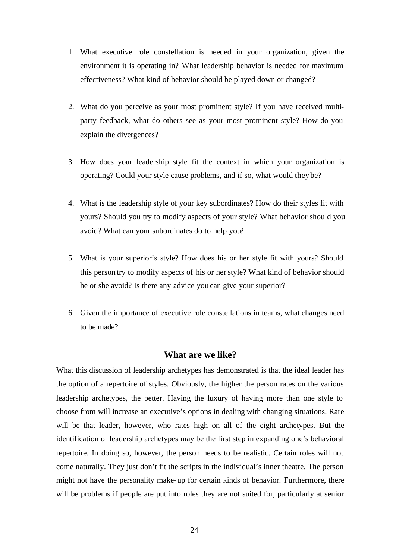- 1. What executive role constellation is needed in your organization, given the environment it is operating in? What leadership behavior is needed for maximum effectiveness? What kind of behavior should be played down or changed?
- 2. What do you perceive as your most prominent style? If you have received multiparty feedback, what do others see as your most prominent style? How do you explain the divergences?
- 3. How does your leadership style fit the context in which your organization is operating? Could your style cause problems, and if so, what would they be?
- 4. What is the leadership style of your key subordinates? How do their styles fit with yours? Should you try to modify aspects of your style? What behavior should you avoid? What can your subordinates do to help you?
- 5. What is your superior's style? How does his or her style fit with yours? Should this person try to modify aspects of his or her style? What kind of behavior should he or she avoid? Is there any advice you can give your superior?
- 6. Given the importance of executive role constellations in teams, what changes need to be made?

## **What are we like?**

What this discussion of leadership archetypes has demonstrated is that the ideal leader has the option of a repertoire of styles. Obviously, the higher the person rates on the various leadership archetypes, the better. Having the luxury of having more than one style to choose from will increase an executive's options in dealing with changing situations. Rare will be that leader, however, who rates high on all of the eight archetypes. But the identification of leadership archetypes may be the first step in expanding one's behavioral repertoire. In doing so, however, the person needs to be realistic. Certain roles will not come naturally. They just don't fit the scripts in the individual's inner theatre. The person might not have the personality make-up for certain kinds of behavior. Furthermore, there will be problems if people are put into roles they are not suited for, particularly at senior